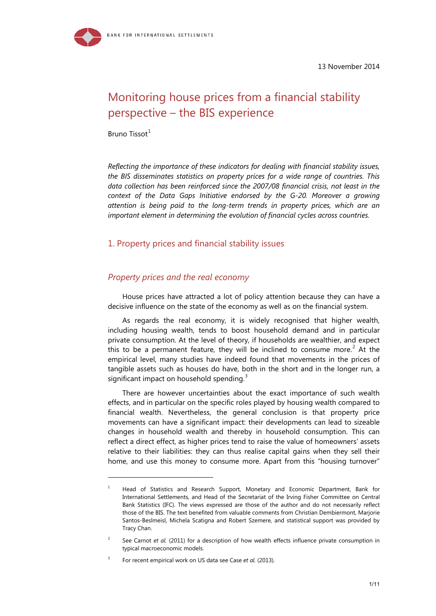13 November 2014

# Monitoring house prices from a financial stability perspective – the BIS experience

Bruno Tissot $<sup>1</sup>$  $<sup>1</sup>$  $<sup>1</sup>$ </sup>

-

*Reflecting the importance of these indicators for dealing with financial stability issues, the BIS disseminates statistics on property prices for a wide range of countries. This data collection has been reinforced since the 2007/08 financial crisis, not least in the context of the Data Gaps Initiative endorsed by the G-20. Moreover a growing attention is being paid to the long-term trends in property prices, which are an important element in determining the evolution of financial cycles across countries.*

# 1. Property prices and financial stability issues

## *Property prices and the real economy*

House prices have attracted a lot of policy attention because they can have a decisive influence on the state of the economy as well as on the financial system.

As regards the real economy, it is widely recognised that higher wealth, including housing wealth, tends to boost household demand and in particular private consumption. At the level of theory, if households are wealthier, and expect this to be a permanent feature, they will be inclined to consume more.<sup>[2](#page-0-1)</sup> At the empirical level, many studies have indeed found that movements in the prices of tangible assets such as houses do have, both in the short and in the longer run, a significant impact on household spending.<sup>[3](#page-0-2)</sup>

There are however uncertainties about the exact importance of such wealth effects, and in particular on the specific roles played by housing wealth compared to financial wealth. Nevertheless, the general conclusion is that property price movements can have a significant impact: their developments can lead to sizeable changes in household wealth and thereby in household consumption. This can reflect a direct effect, as higher prices tend to raise the value of homeowners' assets relative to their liabilities: they can thus realise capital gains when they sell their home, and use this money to consume more. Apart from this "housing turnover"

<span id="page-0-0"></span> $1$  Head of Statistics and Research Support, Monetary and Economic Department, Bank for International Settlements, and Head of the Secretariat of the Irving Fisher Committee on Central Bank Statistics (IFC). The views expressed are those of the author and do not necessarily reflect those of the BIS. The text benefited from valuable comments from Christian Dembiermont, Marjorie Santos-Beslmeisl, Michela Scatigna and Robert Szemere, and statistical support was provided by Tracy Chan.

<span id="page-0-1"></span><sup>&</sup>lt;sup>2</sup> See Carnot *et al.* (2011) for a description of how wealth effects influence private consumption in typical macroeconomic models.

<span id="page-0-2"></span><sup>3</sup> For recent empirical work on US data see Case *et al.* (2013).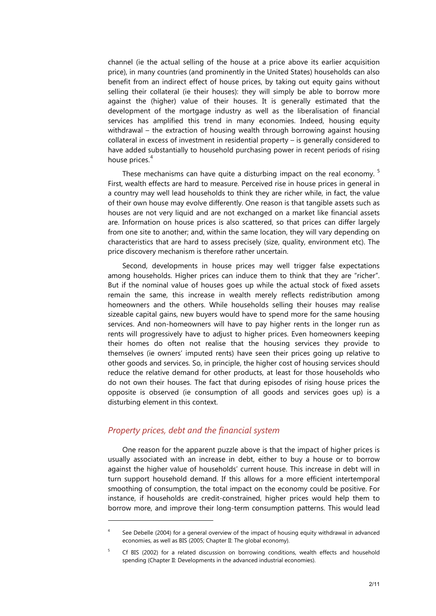channel (ie the actual selling of the house at a price above its earlier acquisition price), in many countries (and prominently in the United States) households can also benefit from an indirect effect of house prices, by taking out equity gains without selling their collateral (ie their houses): they will simply be able to borrow more against the (higher) value of their houses. It is generally estimated that the development of the mortgage industry as well as the liberalisation of financial services has amplified this trend in many economies. Indeed, housing equity withdrawal – the extraction of housing wealth through borrowing against housing collateral in excess of investment in residential property – is generally considered to have added substantially to household purchasing power in recent periods of rising house prices.<sup>[4](#page-1-0)</sup>

These mechanisms can have quite a disturbing impact on the real economy.  $5$ First, wealth effects are hard to measure. Perceived rise in house prices in general in a country may well lead households to think they are richer while, in fact, the value of their own house may evolve differently. One reason is that tangible assets such as houses are not very liquid and are not exchanged on a market like financial assets are. Information on house prices is also scattered, so that prices can differ largely from one site to another; and, within the same location, they will vary depending on characteristics that are hard to assess precisely (size, quality, environment etc). The price discovery mechanism is therefore rather uncertain.

Second, developments in house prices may well trigger false expectations among households. Higher prices can induce them to think that they are "richer". But if the nominal value of houses goes up while the actual stock of fixed assets remain the same, this increase in wealth merely reflects redistribution among homeowners and the others. While households selling their houses may realise sizeable capital gains, new buyers would have to spend more for the same housing services. And non-homeowners will have to pay higher rents in the longer run as rents will progressively have to adjust to higher prices. Even homeowners keeping their homes do often not realise that the housing services they provide to themselves (ie owners' imputed rents) have seen their prices going up relative to other goods and services. So, in principle, the higher cost of housing services should reduce the relative demand for other products, at least for those households who do not own their houses. The fact that during episodes of rising house prices the opposite is observed (ie consumption of all goods and services goes up) is a disturbing element in this context.

## *Property prices, debt and the financial system*

-

One reason for the apparent puzzle above is that the impact of higher prices is usually associated with an increase in debt, either to buy a house or to borrow against the higher value of households' current house. This increase in debt will in turn support household demand. If this allows for a more efficient intertemporal smoothing of consumption, the total impact on the economy could be positive. For instance, if households are credit-constrained, higher prices would help them to borrow more, and improve their long-term consumption patterns. This would lead

<span id="page-1-0"></span><sup>&</sup>lt;sup>4</sup> See Debelle (2004) for a general overview of the impact of housing equity withdrawal in advanced economies, as well as BIS (2005; Chapter II: The global economy).

<span id="page-1-1"></span><sup>&</sup>lt;sup>5</sup> Cf BIS (2002) for a related discussion on borrowing conditions, wealth effects and household spending (Chapter II: Developments in the advanced industrial economies).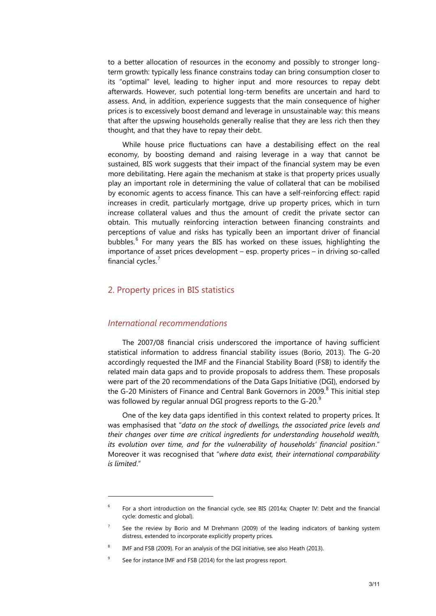to a better allocation of resources in the economy and possibly to stronger longterm growth: typically less finance constrains today can bring consumption closer to its "optimal" level, leading to higher input and more resources to repay debt afterwards. However, such potential long-term benefits are uncertain and hard to assess. And, in addition, experience suggests that the main consequence of higher prices is to excessively boost demand and leverage in unsustainable way: this means that after the upswing households generally realise that they are less rich then they thought, and that they have to repay their debt.

While house price fluctuations can have a destabilising effect on the real economy, by boosting demand and raising leverage in a way that cannot be sustained, BIS work suggests that their impact of the financial system may be even more debilitating. Here again the mechanism at stake is that property prices usually play an important role in determining the value of collateral that can be mobilised by economic agents to access finance. This can have a self-reinforcing effect: rapid increases in credit, particularly mortgage, drive up property prices, which in turn increase collateral values and thus the amount of credit the private sector can obtain. This mutually reinforcing interaction between financing constraints and perceptions of value and risks has typically been an important driver of financial bubbles.<sup>[6](#page-2-0)</sup> For many years the BIS has worked on these issues, highlighting the importance of asset prices development – esp. property prices – in driving so-called financial cycles.<sup>[7](#page-2-1)</sup>

# 2. Property prices in BIS statistics

#### *International recommendations*

1

The 2007/08 financial crisis underscored the importance of having sufficient statistical information to address financial stability issues (Borio, 2013). The G-20 accordingly requested the IMF and the Financial Stability Board (FSB) to identify the related main data gaps and to provide proposals to address them. These proposals were part of the 20 recommendations of the Data Gaps Initiative (DGI), endorsed by the G-20 Ministers of Finance and Central Bank Governors in 2009.<sup>[8](#page-2-2)</sup> This initial step was followed by regular annual DGI progress reports to the G-20. $9$ 

One of the key data gaps identified in this context related to property prices. It was emphasised that "*data on the stock of dwellings, the associated price levels and their changes over time are critical ingredients for understanding household wealth, its evolution over time, and for the vulnerability of households' financial position*." Moreover it was recognised that "*where data exist, their international comparability is limited*."

<span id="page-2-0"></span><sup>&</sup>lt;sup>6</sup> For a short introduction on the financial cycle, see BIS (2014a; Chapter IV: Debt and the financial cycle: domestic and global).

<span id="page-2-1"></span> $7$  See the review by Borio and M Drehmann (2009) of the leading indicators of banking system distress, extended to incorporate explicitly property prices.

IMF and FSB (2009). For an analysis of the DGI initiative, see also Heath (2013).

<span id="page-2-3"></span><span id="page-2-2"></span><sup>&</sup>lt;sup>9</sup> See for instance IMF and FSB (2014) for the last progress report.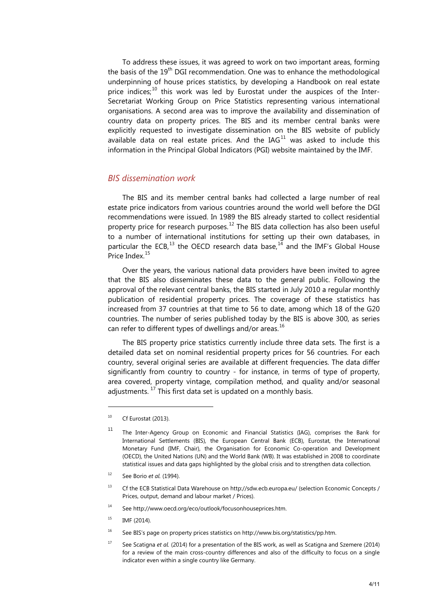To address these issues, it was agreed to work on two important areas, forming the basis of the 19<sup>th</sup> DGI recommendation. One was to enhance the methodological underpinning of house prices statistics, by developing a Handbook on real estate price indices; $^{10}$  $^{10}$  $^{10}$  this work was led by Eurostat under the auspices of the Inter-Secretariat Working Group on Price Statistics representing various international organisations. A second area was to improve the availability and dissemination of country data on property prices. The BIS and its member central banks were explicitly requested to investigate dissemination on the BIS website of publicly available data on real estate prices. And the  $IAG<sup>11</sup>$  $IAG<sup>11</sup>$  $IAG<sup>11</sup>$  was asked to include this information in the Principal Global Indicators (PGI) website maintained by the IMF.

#### *BIS dissemination work*

The BIS and its member central banks had collected a large number of real estate price indicators from various countries around the world well before the DGI recommendations were issued. In 1989 the BIS already started to collect residential property price for research purposes.<sup>[12](#page-3-2)</sup> The BIS data collection has also been useful to a number of international institutions for setting up their own databases, in particular the ECB,<sup>[13](#page-3-3)</sup> the OECD research data base,<sup>[14](#page-3-4)</sup> and the IMF's Global House Price Index. [15](#page-3-5)

Over the years, the various national data providers have been invited to agree that the BIS also disseminates these data to the general public. Following the approval of the relevant central banks, the BIS started in July 2010 a regular monthly publication of residential property prices. The coverage of these statistics has increased from 37 countries at that time to 56 to date, among which 18 of the G20 countries. The number of series published today by the BIS is above 300, as series can refer to different types of dwellings and/or areas.<sup>[16](#page-3-6)</sup>

The BIS property price statistics currently include three data sets. The first is a detailed data set on nominal residential property prices for 56 countries. For each country, several original series are available at different frequencies. The data differ significantly from country to country - for instance, in terms of type of property, area covered, property vintage, compilation method, and quality and/or seasonal adjustments.<sup>[17](#page-3-7)</sup> This first data set is updated on a monthly basis.

-

<span id="page-3-2"></span><sup>12</sup> See Borio *et al.* (1994).

- <span id="page-3-4"></span><sup>14</sup> See [http://www.oecd.org/eco/outlook/focusonhouseprices.htm.](http://www.oecd.org/eco/outlook/focusonhouseprices.htm)
- <span id="page-3-5"></span> $^{15}$  IMF (2014).
- <span id="page-3-6"></span><sup>16</sup> See BIS's page on property prices statistics on http://www.bis.org/statistics/pp.htm.
- <span id="page-3-7"></span><sup>17</sup> See Scatigna *et al.* (2014) for a presentation of the BIS work, as well as Scatigna and Szemere (2014) for a review of the main cross-country differences and also of the difficulty to focus on a single indicator even within a single country like Germany.

<span id="page-3-0"></span> $^{10}$  Cf Eurostat (2013).

<span id="page-3-1"></span><sup>11</sup> The Inter-Agency Group on Economic and Financial Statistics (IAG), comprises the Bank for International Settlements (BIS), the European Central Bank (ECB), Eurostat, the International Monetary Fund (IMF, Chair), the Organisation for Economic Co-operation and Development (OECD), the United Nations (UN) and the World Bank (WB). It was established in 2008 to coordinate statistical issues and data gaps highlighted by the global crisis and to strengthen data collection.

<span id="page-3-3"></span><sup>13</sup> Cf the ECB Statistical Data Warehouse o[n http://sdw.ecb.europa.eu/](http://sdw.ecb.europa.eu/) (selection Economic Concepts / Prices, output, demand and labour market / Prices).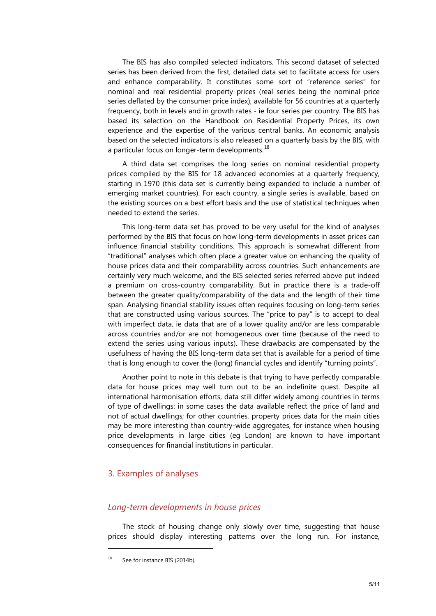The BIS has also compiled selected indicators. This second dataset of selected series has been derived from the first, detailed data set to facilitate access for users and enhance comparability. It constitutes some sort of "reference series" for nominal and real residential property prices (real series being the nominal price series deflated by the consumer price index), available for 56 countries at a quarterly frequency, both in levels and in growth rates - ie four series per country. The BIS has based its selection on the Handbook on Residential Property Prices, its own experience and the expertise of the various central banks. An economic analysis based on the selected indicators is also released on a quarterly basis by the BIS, with a particular focus on longer-term developments.<sup>[18](#page-4-0)</sup>

A third data set comprises the long series on nominal residential property prices compiled by the BIS for 18 advanced economies at a quarterly frequency, starting in 1970 (this data set is currently being expanded to include a number of emerging market countries). For each country, a single series is available, based on the existing sources on a best effort basis and the use of statistical techniques when needed to extend the series.

This long-term data set has proved to be very useful for the kind of analyses performed by the BIS that focus on how long-term developments in asset prices can influence financial stability conditions. This approach is somewhat different from "traditional" analyses which often place a greater value on enhancing the quality of house prices data and their comparability across countries. Such enhancements are certainly very much welcome, and the BIS selected series referred above put indeed a premium on cross-country comparability. But in practice there is a trade-off between the greater quality/comparability of the data and the length of their time span. Analysing financial stability issues often requires focusing on long-term series that are constructed using various sources. The "price to pay" is to accept to deal with imperfect data, ie data that are of a lower quality and/or are less comparable across countries and/or are not homogeneous over time (because of the need to extend the series using various inputs). These drawbacks are compensated by the usefulness of having the BIS long-term data set that is available for a period of time that is long enough to cover the (long) financial cycles and identify "turning points".

Another point to note in this debate is that trying to have perfectly comparable data for house prices may well turn out to be an indefinite quest. Despite all international harmonisation efforts, data still differ widely among countries in terms of type of dwellings: in some cases the data available reflect the price of land and not of actual dwellings; for other countries, property prices data for the main cities may be more interesting than country-wide aggregates, for instance when housing price developments in large cities (eg London) are known to have important consequences for financial institutions in particular.

#### 3. Examples of analyses

#### *Long-term developments in house prices*

The stock of housing change only slowly over time, suggesting that house prices should display interesting patterns over the long run. For instance,

-

<span id="page-4-0"></span>See for instance BIS (2014b).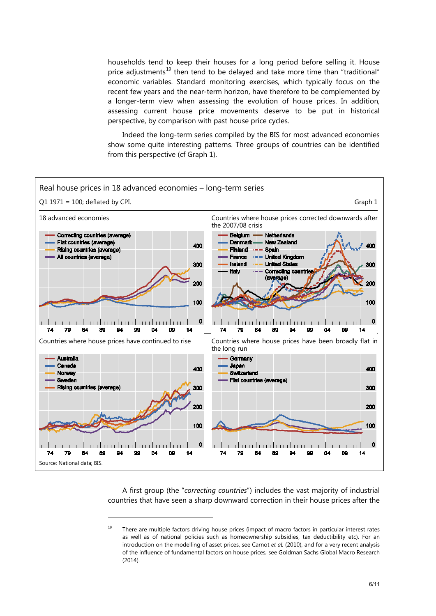households tend to keep their houses for a long period before selling it. House price adjustments<sup>[19](#page-5-0)</sup> then tend to be delayed and take more time than "traditional" economic variables. Standard monitoring exercises, which typically focus on the recent few years and the near-term horizon, have therefore to be complemented by a longer-term view when assessing the evolution of house prices. In addition, assessing current house price movements deserve to be put in historical perspective, by comparison with past house price cycles.

Indeed the long-term series compiled by the BIS for most advanced economies show some quite interesting patterns. Three groups of countries can be identified from this perspective (cf Graph 1).



A first group (the "*correcting countries*") includes the vast majority of industrial countries that have seen a sharp downward correction in their house prices after the

-

<span id="page-5-0"></span><sup>&</sup>lt;sup>19</sup> There are multiple factors driving house prices (impact of macro factors in particular interest rates as well as of national policies such as homeownership subsidies, tax deductibility etc). For an introduction on the modelling of asset prices, see Carnot *et al.* (2010), and for a very recent analysis of the influence of fundamental factors on house prices, see Goldman Sachs Global Macro Research (2014).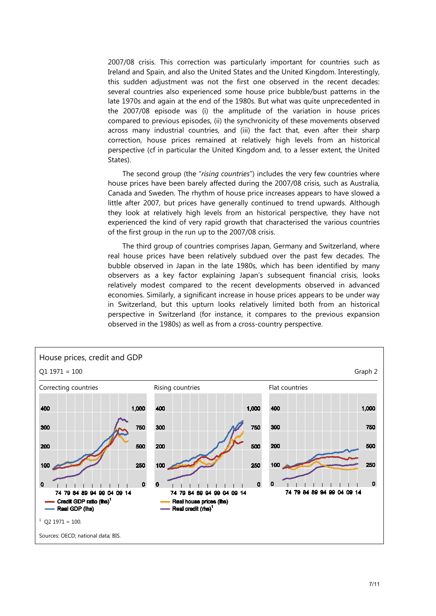2007/08 crisis. This correction was particularly important for countries such as Ireland and Spain, and also the United States and the United Kingdom. Interestingly, this sudden adjustment was not the first one observed in the recent decades: several countries also experienced some house price bubble/bust patterns in the late 1970s and again at the end of the 1980s. But what was quite unprecedented in the 2007/08 episode was (i) the amplitude of the variation in house prices compared to previous episodes, (ii) the synchronicity of these movements observed across many industrial countries, and (iii) the fact that, even after their sharp correction, house prices remained at relatively high levels from an historical perspective (cf in particular the United Kingdom and, to a lesser extent, the United States).

The second group (the "*rising countries*") includes the very few countries where house prices have been barely affected during the 2007/08 crisis, such as Australia, Canada and Sweden. The rhythm of house price increases appears to have slowed a little after 2007, but prices have generally continued to trend upwards. Although they look at relatively high levels from an historical perspective, they have not experienced the kind of very rapid growth that characterised the various countries of the first group in the run up to the 2007/08 crisis.

The third group of countries comprises Japan, Germany and Switzerland, where real house prices have been relatively subdued over the past few decades. The bubble observed in Japan in the late 1980s, which has been identified by many observers as a key factor explaining Japan's subsequent financial crisis, looks relatively modest compared to the recent developments observed in advanced economies. Similarly, a significant increase in house prices appears to be under way in Switzerland, but this upturn looks relatively limited both from an historical perspective in Switzerland (for instance, it compares to the previous expansion observed in the 1980s) as well as from a cross-country perspective.

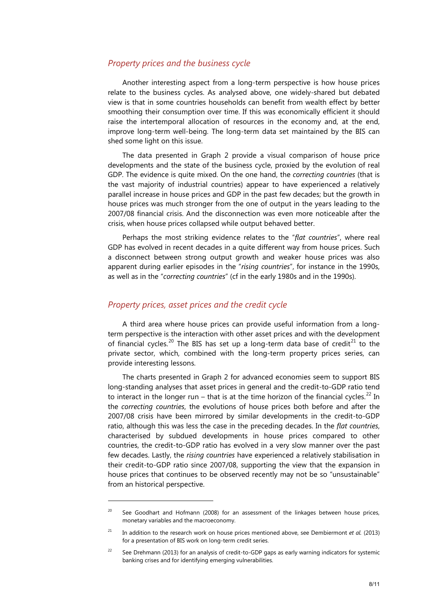#### *Property prices and the business cycle*

Another interesting aspect from a long-term perspective is how house prices relate to the business cycles. As analysed above, one widely-shared but debated view is that in some countries households can benefit from wealth effect by better smoothing their consumption over time. If this was economically efficient it should raise the intertemporal allocation of resources in the economy and, at the end, improve long-term well-being. The long-term data set maintained by the BIS can shed some light on this issue.

The data presented in Graph 2 provide a visual comparison of house price developments and the state of the business cycle, proxied by the evolution of real GDP. The evidence is quite mixed. On the one hand, the *correcting countries* (that is the vast majority of industrial countries) appear to have experienced a relatively parallel increase in house prices and GDP in the past few decades; but the growth in house prices was much stronger from the one of output in the years leading to the 2007/08 financial crisis. And the disconnection was even more noticeable after the crisis, when house prices collapsed while output behaved better.

Perhaps the most striking evidence relates to the "*flat countries*", where real GDP has evolved in recent decades in a quite different way from house prices. Such a disconnect between strong output growth and weaker house prices was also apparent during earlier episodes in the "*rising countries*", for instance in the 1990s, as well as in the "*correcting countries*" (cf in the early 1980s and in the 1990s).

# *Property prices, asset prices and the credit cycle*

1

A third area where house prices can provide useful information from a longterm perspective is the interaction with other asset prices and with the development of financial cycles.<sup>[20](#page-7-0)</sup> The BIS has set up a long-term data base of credit<sup>[21](#page-7-1)</sup> to the private sector, which, combined with the long-term property prices series, can provide interesting lessons.

The charts presented in Graph 2 for advanced economies seem to support BIS long-standing analyses that asset prices in general and the credit-to-GDP ratio tend to interact in the longer run – that is at the time horizon of the financial cycles.<sup>[22](#page-7-2)</sup> In the *correcting countries*, the evolutions of house prices both before and after the 2007/08 crisis have been mirrored by similar developments in the credit-to-GDP ratio, although this was less the case in the preceding decades. In the *flat countries*, characterised by subdued developments in house prices compared to other countries, the credit-to-GDP ratio has evolved in a very slow manner over the past few decades. Lastly, the *rising countries* have experienced a relatively stabilisation in their credit-to-GDP ratio since 2007/08, supporting the view that the expansion in house prices that continues to be observed recently may not be so "unsustainable" from an historical perspective.

<span id="page-7-0"></span> $20$  See Goodhart and Hofmann (2008) for an assessment of the linkages between house prices, monetary variables and the macroeconomy.

<span id="page-7-1"></span><sup>21</sup> In addition to the research work on house prices mentioned above, see Dembiermont *et al.* (2013) for a presentation of BIS work on long-term credit series.

<span id="page-7-2"></span><sup>&</sup>lt;sup>22</sup> See Drehmann (2013) for an analysis of credit-to-GDP gaps as early warning indicators for systemic banking crises and for identifying emerging vulnerabilities.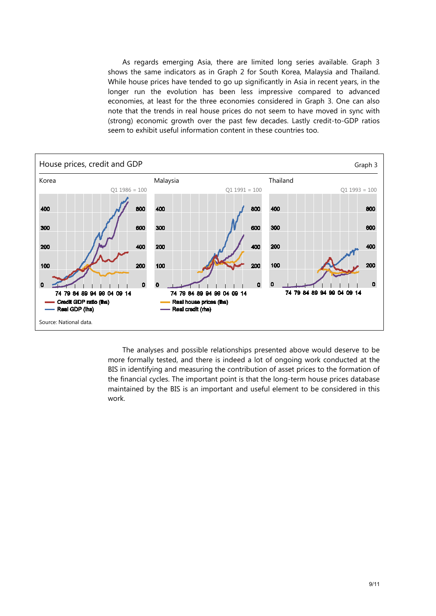As regards emerging Asia, there are limited long series available. Graph 3 shows the same indicators as in Graph 2 for South Korea, Malaysia and Thailand. While house prices have tended to go up significantly in Asia in recent years, in the longer run the evolution has been less impressive compared to advanced economies, at least for the three economies considered in Graph 3. One can also note that the trends in real house prices do not seem to have moved in sync with (strong) economic growth over the past few decades. Lastly credit-to-GDP ratios seem to exhibit useful information content in these countries too.



The analyses and possible relationships presented above would deserve to be more formally tested, and there is indeed a lot of ongoing work conducted at the BIS in identifying and measuring the contribution of asset prices to the formation of the financial cycles. The important point is that the long-term house prices database maintained by the BIS is an important and useful element to be considered in this work.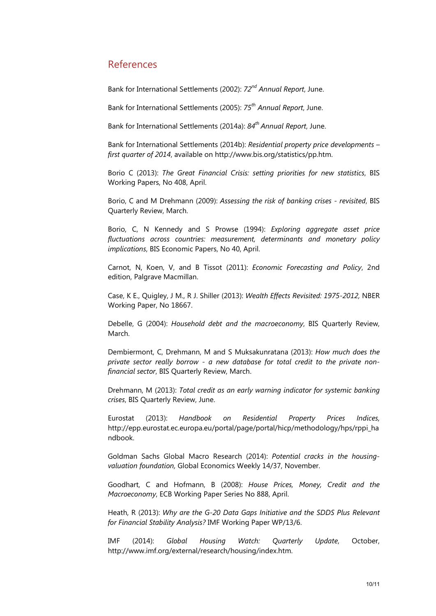# References

Bank for International Settlements (2002): *72nd Annual Report*, June.

Bank for International Settlements (2005): *75th Annual Report*, June.

Bank for International Settlements (2014a): *84th Annual Report*, June.

Bank for International Settlements (2014b): *Residential property price developments – first quarter of 2014*, available on http://www.bis.org/statistics/pp.htm.

Borio C (2013): *The Great Financial Crisis: setting priorities for new statistics*, BIS Working Papers, No 408, April.

Borio, C and M Drehmann (2009): *Assessing the risk of banking crises - revisited*, BIS Quarterly Review, March.

Borio, C, N Kennedy and S Prowse (1994): *Exploring aggregate asset price fluctuations across countries: measurement, determinants and monetary policy implications*, BIS Economic Papers, No 40, April.

Carnot, N, Koen, V, and B Tissot (2011): *Economic Forecasting and Policy*, 2nd edition, Palgrave Macmillan.

Case, K E., Quigley, J M., R J. Shiller (2013): *Wealth Effects Revisited: 1975-2012,* NBER Working Paper, No 18667.

Debelle, G (2004): *Household debt and the macroeconomy*, BIS Quarterly Review, March.

Dembiermont, C, Drehmann, M and S Muksakunratana (2013): *How much does the private sector really borrow - a new database for total credit to the private nonfinancial sector*, BIS Quarterly Review, March.

Drehmann, M (2013): *Total credit as an early warning indicator for systemic banking crises*, BIS Quarterly Review, June.

Eurostat (2013): *Handbook on Residential Property Prices Indices,*  [http://epp.eurostat.ec.europa.eu/portal/page/portal/hicp/methodology/hps/rppi\\_ha](http://epp.eurostat.ec.europa.eu/portal/page/portal/hicp/methodology/hps/rppi_handbook) [ndbook.](http://epp.eurostat.ec.europa.eu/portal/page/portal/hicp/methodology/hps/rppi_handbook)

Goldman Sachs Global Macro Research (2014): *Potential cracks in the housingvaluation foundation,* Global Economics Weekly 14/37, November.

Goodhart, C and Hofmann, B (2008): *House Prices, Money, Credit and the Macroeconomy*, ECB Working Paper Series No 888, April.

Heath, R (2013): *Why are the G-20 Data Gaps Initiative and the SDDS Plus Relevant for Financial Stability Analysis?* IMF Working Paper WP/13/6.

IMF (2014): *Global Housing Watch: Quarterly Update*, October, [http://www.imf.org/external/research/housing/index.htm.](http://www.imf.org/external/research/housing/index.htm)